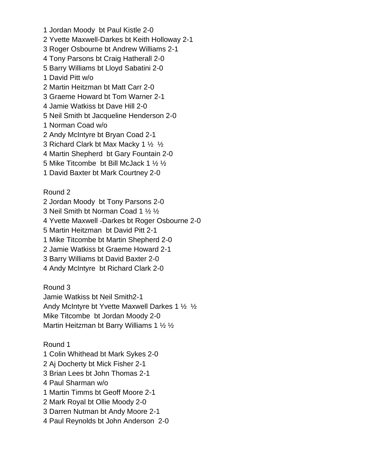1 Jordan Moody bt Paul Kistle 2-0 2 Yvette Maxwell-Darkes bt Keith Holloway 2-1 3 Roger Osbourne bt Andrew Williams 2-1 4 Tony Parsons bt Craig Hatherall 2-0 5 Barry Williams bt Lloyd Sabatini 2-0 1 David Pitt w/o 2 Martin Heitzman bt Matt Carr 2-0 3 Graeme Howard bt Tom Warner 2-1 4 Jamie Watkiss bt Dave Hill 2-0 5 Neil Smith bt Jacqueline Henderson 2-0 1 Norman Coad w/o 2 Andy McIntyre bt Bryan Coad 2-1 3 Richard Clark bt Max Macky 1 ½ ½ 4 Martin Shepherd bt Gary Fountain 2-0 5 Mike Titcombe bt Bill McJack 1 ½ ½ 1 David Baxter bt Mark Courtney 2-0

## Round 2

- 2 Jordan Moody bt Tony Parsons 2-0
- 3 Neil Smith bt Norman Coad 1 ½ ½
- 4 Yvette Maxwell -Darkes bt Roger Osbourne 2-0
- 5 Martin Heitzman bt David Pitt 2-1
- 1 Mike Titcombe bt Martin Shepherd 2-0
- 2 Jamie Watkiss bt Graeme Howard 2-1
- 3 Barry Williams bt David Baxter 2-0
- 4 Andy McIntyre bt Richard Clark 2-0

Round 3 Jamie Watkiss bt Neil Smith2-1 Andy McIntyre bt Yvette Maxwell Darkes 1 ½ ½ Mike Titcombe bt Jordan Moody 2-0 Martin Heitzman bt Barry Williams 1 ½ ½

# Round 1

1 Colin Whithead bt Mark Sykes 2-0 2 Aj Docherty bt Mick Fisher 2-1 3 Brian Lees bt John Thomas 2-1 4 Paul Sharman w/o 1 Martin Timms bt Geoff Moore 2-1 2 Mark Royal bt Ollie Moody 2-0 3 Darren Nutman bt Andy Moore 2-1 4 Paul Reynolds bt John Anderson 2-0